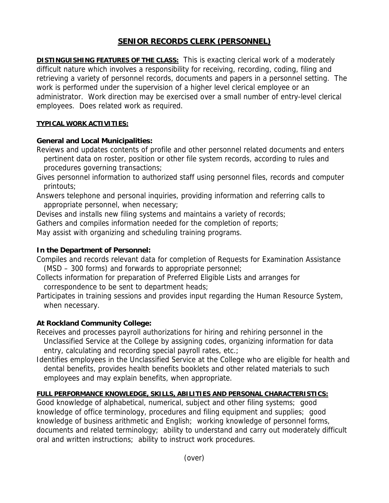# **SENIOR RECORDS CLERK (PERSONNEL)**

**DISTINGUISHING FEATURES OF THE CLASS:** This is exacting clerical work of a moderately difficult nature which involves a responsibility for receiving, recording, coding, filing and retrieving a variety of personnel records, documents and papers in a personnel setting. The work is performed under the supervision of a higher level clerical employee or an administrator. Work direction may be exercised over a small number of entry-level clerical employees. Does related work as required.

#### **TYPICAL WORK ACTIVITIES:**

## **General and Local Municipalities:**

Reviews and updates contents of profile and other personnel related documents and enters pertinent data on roster, position or other file system records, according to rules and procedures governing transactions;

- Gives personnel information to authorized staff using personnel files, records and computer printouts;
- Answers telephone and personal inquiries, providing information and referring calls to appropriate personnel, when necessary;

Devises and installs new filing systems and maintains a variety of records;

Gathers and compiles information needed for the completion of reports;

May assist with organizing and scheduling training programs.

### **In the Department of Personnel:**

- Compiles and records relevant data for completion of Requests for Examination Assistance (MSD – 300 forms) and forwards to appropriate personnel;
- Collects information for preparation of Preferred Eligible Lists and arranges for correspondence to be sent to department heads;
- Participates in training sessions and provides input regarding the Human Resource System, when necessary.

## **At Rockland Community College:**

Receives and processes payroll authorizations for hiring and rehiring personnel in the Unclassified Service at the College by assigning codes, organizing information for data entry, calculating and recording special payroll rates, etc.;

Identifies employees in the Unclassified Service at the College who are eligible for health and dental benefits, provides health benefits booklets and other related materials to such employees and may explain benefits, when appropriate.

## **FULL PERFORMANCE KNOWLEDGE, SKILLS, ABILITIES AND PERSONAL CHARACTERISTICS:**

Good knowledge of alphabetical, numerical, subject and other filing systems; good knowledge of office terminology, procedures and filing equipment and supplies; good knowledge of business arithmetic and English; working knowledge of personnel forms, documents and related terminology; ability to understand and carry out moderately difficult oral and written instructions; ability to instruct work procedures.